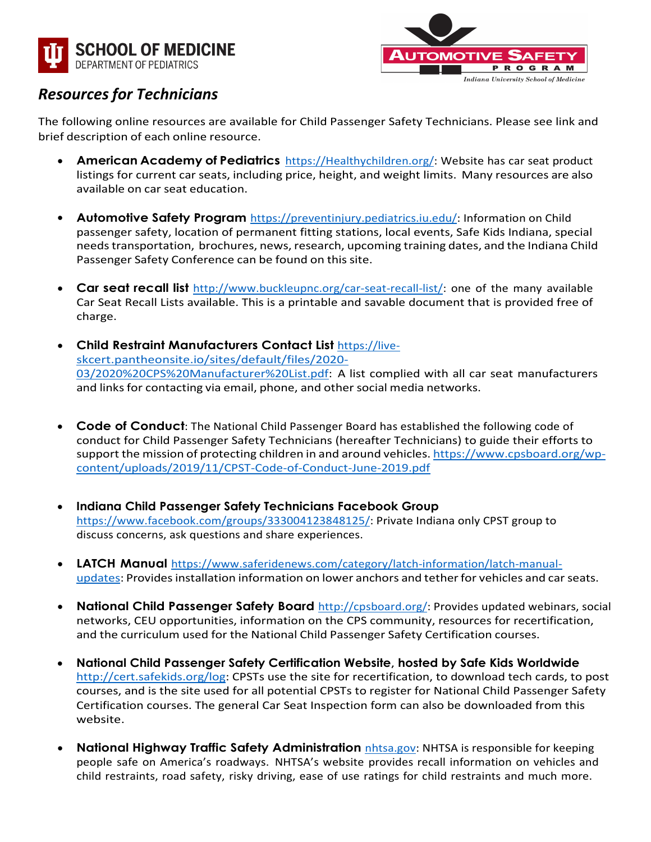



## *Resources for Technicians*

The following online resources are available for Child Passenger Safety Technicians. Please see link and brief description of each online resource.

- **American Academy of Pediatrics** [https://Healthychildren.org/:](https://healthychildren.org/) Website has car seat product listings for current car seats, including price, height, and weight limits. Many resources are also available on car seat education.
- **Automotive Safety Program** [https://preventinjury.pediatrics.iu.edu/:](https://preventinjury.pediatrics.iu.edu/) Information on Child passenger safety, location of permanent fitting stations, local events, Safe Kids Indiana, special needstransportation, brochures, news, research, upcoming training dates, and the Indiana Child Passenger Safety Conference can be found on this site.
- **Car seat recall list** [http://www.buckleupnc.org/car-seat-recall-list/:](http://www.buckleupnc.org/car-seat-recall-list/) one of the many available Car Seat Recall Lists available. This is a printable and savable document that is provided free of charge.
- **Child Restraint Manufacturers Contact List** [https://live](https://live-skcert.pantheonsite.io/sites/default/files/2020-03/2020%20CPS%20Manufacturer%20List.pdf)[skcert.pantheonsite.io/sites/default/files/2020-](https://live-skcert.pantheonsite.io/sites/default/files/2020-03/2020%20CPS%20Manufacturer%20List.pdf) [03/2020%20CPS%20Manufacturer%20List.pdf:](https://live-skcert.pantheonsite.io/sites/default/files/2020-03/2020%20CPS%20Manufacturer%20List.pdf) A list complied with all car seat manufacturers and links for contacting via email, phone, and other social media networks.
- **Code of Conduct**: The National Child Passenger Board has established the following code of conduct for Child Passenger Safety Technicians (hereafter Technicians) to guide their efforts to support the mission of protecting children in and around vehicles. [https://www.cpsboard.org/wp](https://www.cpsboard.org/wp-content/uploads/2019/11/CPST-Code-of-Conduct-June-2019.pdf)[content/uploads/2019/11/CPST-Code-of-Conduct-June-2019.pdf](https://www.cpsboard.org/wp-content/uploads/2019/11/CPST-Code-of-Conduct-June-2019.pdf)
- **Indiana Child Passenger Safety Technicians Facebook Group** [https://www.facebook.com/groups/333004123848125/:](https://www.facebook.com/groups/333004123848125/) Private Indiana only CPST group to discuss concerns, ask questions and share experiences.
- **LATCH Manual** [https://www.saferidenews.com/category/latch-information/latch-manual](https://www.saferidenews.com/category/latch-information/latch-manual-updates)[updates:](https://www.saferidenews.com/category/latch-information/latch-manual-updates) Provides installation information on lower anchors and tether for vehicles and car seats.
- **National Child Passenger Safety Board** [http://cpsboard.org/:](http://cpsboard.org/) Provides updated webinars, social networks, CEU opportunities, information on the CPS community, resources for recertification, and the curriculum used for the National Child Passenger Safety Certification courses.
- **National Child Passenger Safety Certification Website, hosted by Safe Kids Worldwide** [http://cert.safekids.org/log:](http://cert.safekids.org/log) CPSTs use the site for recertification, to download tech cards, to post courses, and is the site used for all potential CPSTs to register for National Child Passenger Safety Certification courses. The general Car Seat Inspection form can also be downloaded from this website.
- **National Highway Traffic Safety Administration** [nhtsa.gov:](https://www.nhtsa.gov/) NHTSA is responsible for keeping people safe on America's roadways. NHTSA's website provides recall information on vehicles and child restraints, road safety, risky driving, ease of use ratings for child restraints and much more.